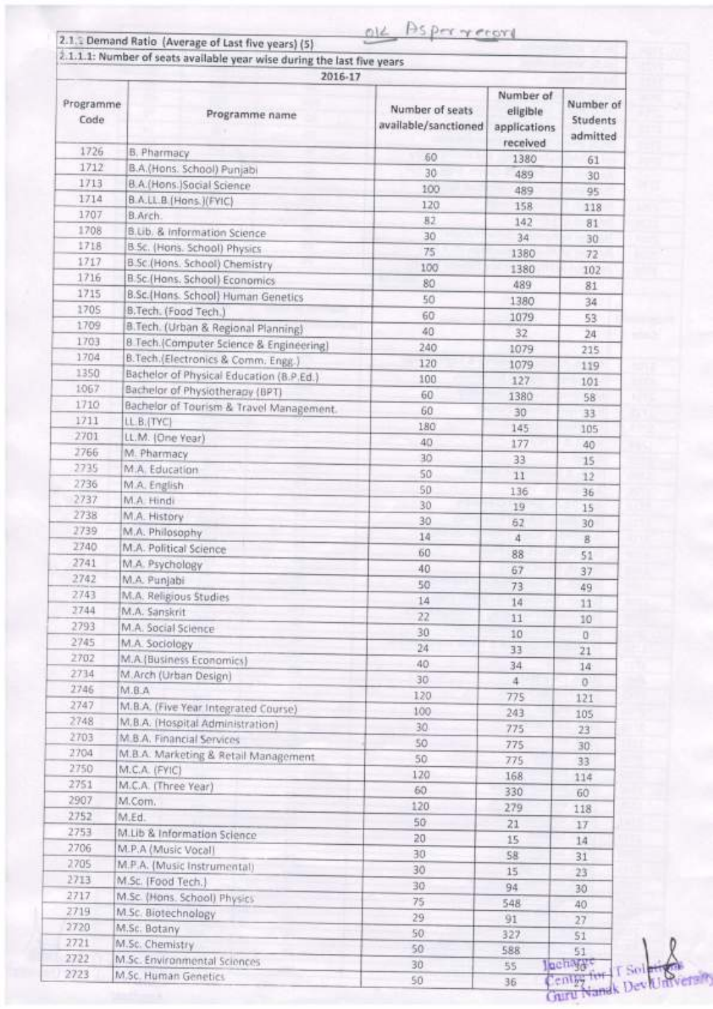|                   | 2.1.1.1: Number of seats available year wise during the last five years |                                         |                                                   |                                   |  |  |
|-------------------|-------------------------------------------------------------------------|-----------------------------------------|---------------------------------------------------|-----------------------------------|--|--|
|                   | 2016-17                                                                 |                                         |                                                   |                                   |  |  |
| Programme<br>Code | Programme name                                                          | Number of seats<br>available/sanctioned | Number of<br>eligible<br>applications<br>received | Number of<br>Students<br>admitted |  |  |
| 1726              | B. Pharmacy                                                             | 50                                      | 1380                                              | 61                                |  |  |
| 1712              | B.A.(Hons. School) Punjabi                                              | 30                                      | 489                                               | 30                                |  |  |
| 1713              | B.A.(Hons.)Social Science                                               | 100                                     | 489                                               | 95                                |  |  |
| 1714              | B.A.LL.B.(Hons.)(FYIC)                                                  | 120                                     | 158                                               | 118                               |  |  |
| 1707              | B.Arch.                                                                 | 82                                      | 142                                               | 81                                |  |  |
| 1708              | B.Lib. & Information Science                                            | 30                                      | 34                                                | 30                                |  |  |
| 1718              | B.Sc. (Hons. School) Physics                                            | 75                                      | 1380                                              | 72                                |  |  |
| 1717              | B.Sc.(Hons. School) Chemistry                                           | 100                                     | 1380                                              | 102                               |  |  |
| 1716              | B.Sc (Hans, School) Economics                                           | 80                                      | 489                                               | 81                                |  |  |
| 1715              | B.Sc.[Hons. School] Human Genetics                                      | 50                                      | 1380                                              |                                   |  |  |
| 1705              | B.Tech. (Food Tech.)                                                    | 60                                      |                                                   | 34                                |  |  |
| 1709              | B.Tech. (Urban & Regional Planning)                                     | 40                                      | 1079                                              | 53.                               |  |  |
| 1703              | 8 Tech.(Computer Science & Engineering)                                 |                                         | 32                                                | 24                                |  |  |
| 1704              | B.Tech.(Electronics & Comm. Engg.)                                      | 240                                     | 1079                                              | 215                               |  |  |
| 1350              | Bachelor of Physical Education (B.P.Ed.)                                | 120                                     | 1079                                              | 119                               |  |  |
| 1067              | Bachelor of Physiotherapy (BPT)                                         | 100                                     | 127                                               | 101                               |  |  |
| 1710              | Bachelor of Tourism & Travel Management.                                | 60                                      | 1380                                              | 58                                |  |  |
| 1711              | LL B. (TYC)                                                             | 60                                      | 30                                                | 33                                |  |  |
| 2701              | LL.M. (One Year)                                                        | 180                                     | 145                                               | 105                               |  |  |
| 2766              | M. Pharmacy                                                             | 40                                      | 177                                               | 40                                |  |  |
| 2735              |                                                                         | 30                                      | 33                                                | 15                                |  |  |
|                   | M.A. Education                                                          | 50                                      | 11                                                | 12                                |  |  |
| 2736              | M.A. English                                                            | 50                                      | 136                                               | 36                                |  |  |
| 2737              | M.A. Hindi                                                              | 30                                      | 19                                                | 15                                |  |  |
| 2738              | M.A. History                                                            | 30                                      | 52                                                | 30                                |  |  |
| 2739              | M.A. Philosophy                                                         | 14                                      | 4                                                 | 8                                 |  |  |
| 2740              | M.A. Political Science                                                  | 60                                      | 88                                                | 51                                |  |  |
| 2741              | M.A. Psychology                                                         | 40                                      | 67                                                | 37.                               |  |  |
| 2742              | M.A. Punjabi                                                            | 50                                      | 73                                                | 49                                |  |  |
| 2743              | M.A. Religious Studies                                                  | 14                                      | 14                                                | 11                                |  |  |
| 2744              | M.A. Sanskrit                                                           | 22                                      | 11                                                | 10                                |  |  |
| 2793              | M.A. Social Science                                                     | 30                                      | 10                                                | o                                 |  |  |
| 2745              | M.A. Sociology                                                          | 24                                      | 33                                                | 21                                |  |  |
| 2702              | M.A.(Business Economics)                                                | 40                                      | 34                                                | 14                                |  |  |
| 2734              | M.Arch (Urban Design)                                                   | 30                                      | $\ddot{a}$                                        | O.                                |  |  |
| 2746              | M.B.A                                                                   | 120                                     | 775                                               |                                   |  |  |
| 2747              | M.B.A. (Five Year Integrated Course)                                    | 100                                     | 243                                               | 121                               |  |  |
| 2748              | M.B.A. (Hospital Administration)                                        | 30                                      |                                                   | 105                               |  |  |
| 2703              | M.B.A. Financial Services                                               | 50                                      | 775                                               | 23                                |  |  |
| 2704              | M.B.A. Marketing & Retail Management                                    | 50                                      | 775                                               | 30                                |  |  |
| 2750              | M.C.A. (FYIC)                                                           |                                         | 775                                               | 33                                |  |  |
| 2751              | M.C.A. (Three Year)                                                     | 120                                     | 168                                               | 114                               |  |  |
| 2907              | M.Com.                                                                  | 60                                      | 330                                               | 60                                |  |  |
| 2752              | M.Ed.                                                                   | 120                                     | 279                                               | 118                               |  |  |
| 2753              | M.Lib & Information Science                                             | 50                                      | 21                                                | 17                                |  |  |
| 2706              | M.P.A (Music Vocal)                                                     | 20                                      | 15                                                | 14                                |  |  |
| 2705              | M.P.A. (Music Instrumental)                                             | 30                                      | 58                                                | 31                                |  |  |
| 2713              | M.Sc. (Food Tech.)                                                      | 30                                      | 15                                                | 23                                |  |  |
| 2717              |                                                                         | 30                                      | 94                                                | 30                                |  |  |
| 2719              | M.Sc. (Hans. School) Physics                                            | 75                                      | 548                                               | 40                                |  |  |
| 2720              | M.Sc. Biotechnology                                                     | 29                                      | 91                                                | 27                                |  |  |
| 2721              | M.Sc. Botany                                                            | 50                                      | 327                                               | 51                                |  |  |
| 2722              | M.Sc. Chemistry                                                         | 50                                      | 588                                               | 51                                |  |  |
| 2723              | M.Sc. Environmental Sciences                                            | 30                                      | 55                                                | lochary:                          |  |  |
|                   | M.Sc. Human Genetics                                                    | 50                                      | 36                                                | entry for                         |  |  |

Guru Nandk Dev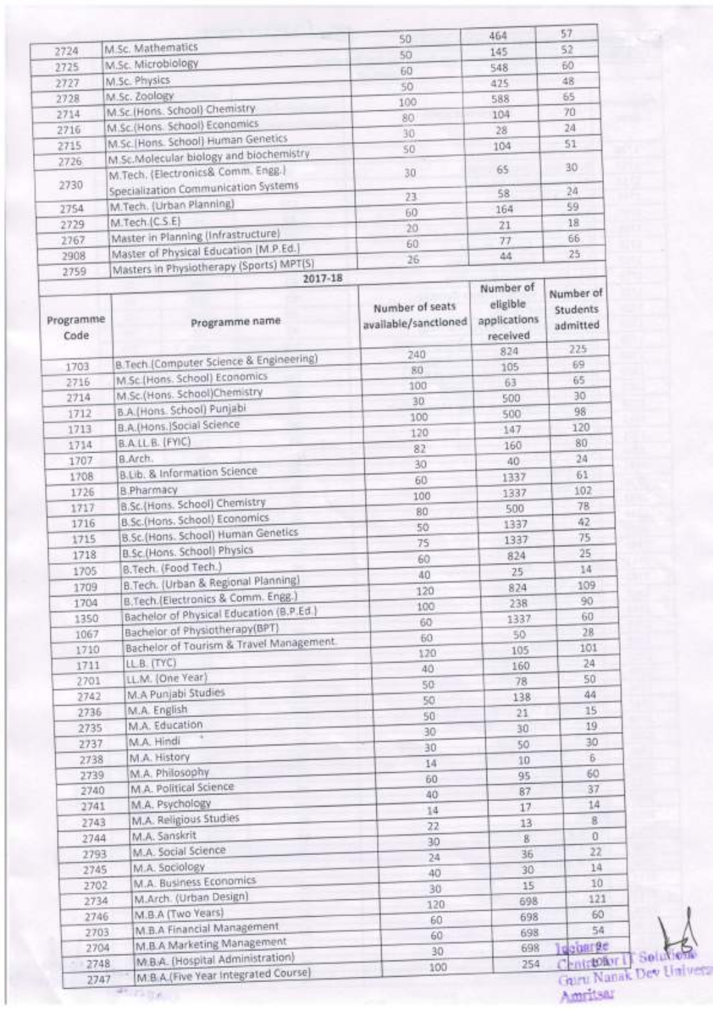|                                                                        | 50                                                                                                                                                                                                                                                                                                                                                                                                                                                                                                                                                                                                                                                                                                                                                                                                                                                                                                                                                                                                                                                                                                                                                                                                                                                                                                                                                      | 464                                                                                                                                                     | 57                                                                                                                                                                                                                                |
|------------------------------------------------------------------------|---------------------------------------------------------------------------------------------------------------------------------------------------------------------------------------------------------------------------------------------------------------------------------------------------------------------------------------------------------------------------------------------------------------------------------------------------------------------------------------------------------------------------------------------------------------------------------------------------------------------------------------------------------------------------------------------------------------------------------------------------------------------------------------------------------------------------------------------------------------------------------------------------------------------------------------------------------------------------------------------------------------------------------------------------------------------------------------------------------------------------------------------------------------------------------------------------------------------------------------------------------------------------------------------------------------------------------------------------------|---------------------------------------------------------------------------------------------------------------------------------------------------------|-----------------------------------------------------------------------------------------------------------------------------------------------------------------------------------------------------------------------------------|
|                                                                        | 50                                                                                                                                                                                                                                                                                                                                                                                                                                                                                                                                                                                                                                                                                                                                                                                                                                                                                                                                                                                                                                                                                                                                                                                                                                                                                                                                                      | 145                                                                                                                                                     | 52                                                                                                                                                                                                                                |
|                                                                        |                                                                                                                                                                                                                                                                                                                                                                                                                                                                                                                                                                                                                                                                                                                                                                                                                                                                                                                                                                                                                                                                                                                                                                                                                                                                                                                                                         | 548                                                                                                                                                     | 60                                                                                                                                                                                                                                |
| M.Sc. Physics                                                          |                                                                                                                                                                                                                                                                                                                                                                                                                                                                                                                                                                                                                                                                                                                                                                                                                                                                                                                                                                                                                                                                                                                                                                                                                                                                                                                                                         | 425                                                                                                                                                     | 48                                                                                                                                                                                                                                |
| M.Sc. Zoology                                                          |                                                                                                                                                                                                                                                                                                                                                                                                                                                                                                                                                                                                                                                                                                                                                                                                                                                                                                                                                                                                                                                                                                                                                                                                                                                                                                                                                         |                                                                                                                                                         | 65                                                                                                                                                                                                                                |
|                                                                        |                                                                                                                                                                                                                                                                                                                                                                                                                                                                                                                                                                                                                                                                                                                                                                                                                                                                                                                                                                                                                                                                                                                                                                                                                                                                                                                                                         |                                                                                                                                                         | 70                                                                                                                                                                                                                                |
|                                                                        |                                                                                                                                                                                                                                                                                                                                                                                                                                                                                                                                                                                                                                                                                                                                                                                                                                                                                                                                                                                                                                                                                                                                                                                                                                                                                                                                                         |                                                                                                                                                         | 24                                                                                                                                                                                                                                |
|                                                                        |                                                                                                                                                                                                                                                                                                                                                                                                                                                                                                                                                                                                                                                                                                                                                                                                                                                                                                                                                                                                                                                                                                                                                                                                                                                                                                                                                         |                                                                                                                                                         | 51                                                                                                                                                                                                                                |
|                                                                        |                                                                                                                                                                                                                                                                                                                                                                                                                                                                                                                                                                                                                                                                                                                                                                                                                                                                                                                                                                                                                                                                                                                                                                                                                                                                                                                                                         |                                                                                                                                                         |                                                                                                                                                                                                                                   |
|                                                                        | 30                                                                                                                                                                                                                                                                                                                                                                                                                                                                                                                                                                                                                                                                                                                                                                                                                                                                                                                                                                                                                                                                                                                                                                                                                                                                                                                                                      |                                                                                                                                                         | 30                                                                                                                                                                                                                                |
|                                                                        | 23                                                                                                                                                                                                                                                                                                                                                                                                                                                                                                                                                                                                                                                                                                                                                                                                                                                                                                                                                                                                                                                                                                                                                                                                                                                                                                                                                      |                                                                                                                                                         | 24                                                                                                                                                                                                                                |
|                                                                        | 60                                                                                                                                                                                                                                                                                                                                                                                                                                                                                                                                                                                                                                                                                                                                                                                                                                                                                                                                                                                                                                                                                                                                                                                                                                                                                                                                                      | 164                                                                                                                                                     | 59                                                                                                                                                                                                                                |
|                                                                        | 20                                                                                                                                                                                                                                                                                                                                                                                                                                                                                                                                                                                                                                                                                                                                                                                                                                                                                                                                                                                                                                                                                                                                                                                                                                                                                                                                                      | 21                                                                                                                                                      | 18                                                                                                                                                                                                                                |
|                                                                        | 60                                                                                                                                                                                                                                                                                                                                                                                                                                                                                                                                                                                                                                                                                                                                                                                                                                                                                                                                                                                                                                                                                                                                                                                                                                                                                                                                                      | 77                                                                                                                                                      | 66                                                                                                                                                                                                                                |
|                                                                        | 26                                                                                                                                                                                                                                                                                                                                                                                                                                                                                                                                                                                                                                                                                                                                                                                                                                                                                                                                                                                                                                                                                                                                                                                                                                                                                                                                                      | 44                                                                                                                                                      | $25 -$                                                                                                                                                                                                                            |
|                                                                        |                                                                                                                                                                                                                                                                                                                                                                                                                                                                                                                                                                                                                                                                                                                                                                                                                                                                                                                                                                                                                                                                                                                                                                                                                                                                                                                                                         |                                                                                                                                                         |                                                                                                                                                                                                                                   |
| Programme name                                                         | Number of seats<br>available/sanctioned                                                                                                                                                                                                                                                                                                                                                                                                                                                                                                                                                                                                                                                                                                                                                                                                                                                                                                                                                                                                                                                                                                                                                                                                                                                                                                                 | Number of<br>eligible<br>applications<br>received                                                                                                       | Number of<br>Students<br>admitted                                                                                                                                                                                                 |
|                                                                        | 240                                                                                                                                                                                                                                                                                                                                                                                                                                                                                                                                                                                                                                                                                                                                                                                                                                                                                                                                                                                                                                                                                                                                                                                                                                                                                                                                                     |                                                                                                                                                         | 225                                                                                                                                                                                                                               |
|                                                                        | 80                                                                                                                                                                                                                                                                                                                                                                                                                                                                                                                                                                                                                                                                                                                                                                                                                                                                                                                                                                                                                                                                                                                                                                                                                                                                                                                                                      |                                                                                                                                                         | 69                                                                                                                                                                                                                                |
|                                                                        | 100                                                                                                                                                                                                                                                                                                                                                                                                                                                                                                                                                                                                                                                                                                                                                                                                                                                                                                                                                                                                                                                                                                                                                                                                                                                                                                                                                     |                                                                                                                                                         | 65                                                                                                                                                                                                                                |
|                                                                        | 30                                                                                                                                                                                                                                                                                                                                                                                                                                                                                                                                                                                                                                                                                                                                                                                                                                                                                                                                                                                                                                                                                                                                                                                                                                                                                                                                                      |                                                                                                                                                         | 30                                                                                                                                                                                                                                |
|                                                                        | 100                                                                                                                                                                                                                                                                                                                                                                                                                                                                                                                                                                                                                                                                                                                                                                                                                                                                                                                                                                                                                                                                                                                                                                                                                                                                                                                                                     |                                                                                                                                                         | 98                                                                                                                                                                                                                                |
|                                                                        | 120                                                                                                                                                                                                                                                                                                                                                                                                                                                                                                                                                                                                                                                                                                                                                                                                                                                                                                                                                                                                                                                                                                                                                                                                                                                                                                                                                     | 147                                                                                                                                                     | 120                                                                                                                                                                                                                               |
|                                                                        |                                                                                                                                                                                                                                                                                                                                                                                                                                                                                                                                                                                                                                                                                                                                                                                                                                                                                                                                                                                                                                                                                                                                                                                                                                                                                                                                                         | 160                                                                                                                                                     | 80                                                                                                                                                                                                                                |
| B.Arch.                                                                |                                                                                                                                                                                                                                                                                                                                                                                                                                                                                                                                                                                                                                                                                                                                                                                                                                                                                                                                                                                                                                                                                                                                                                                                                                                                                                                                                         | 40                                                                                                                                                      | 24                                                                                                                                                                                                                                |
|                                                                        |                                                                                                                                                                                                                                                                                                                                                                                                                                                                                                                                                                                                                                                                                                                                                                                                                                                                                                                                                                                                                                                                                                                                                                                                                                                                                                                                                         | 1337                                                                                                                                                    | 61                                                                                                                                                                                                                                |
| <b>B.Pharmacy</b>                                                      |                                                                                                                                                                                                                                                                                                                                                                                                                                                                                                                                                                                                                                                                                                                                                                                                                                                                                                                                                                                                                                                                                                                                                                                                                                                                                                                                                         | 1337                                                                                                                                                    | 102                                                                                                                                                                                                                               |
|                                                                        |                                                                                                                                                                                                                                                                                                                                                                                                                                                                                                                                                                                                                                                                                                                                                                                                                                                                                                                                                                                                                                                                                                                                                                                                                                                                                                                                                         | 500                                                                                                                                                     | 78                                                                                                                                                                                                                                |
|                                                                        |                                                                                                                                                                                                                                                                                                                                                                                                                                                                                                                                                                                                                                                                                                                                                                                                                                                                                                                                                                                                                                                                                                                                                                                                                                                                                                                                                         | 1337                                                                                                                                                    | 42                                                                                                                                                                                                                                |
|                                                                        |                                                                                                                                                                                                                                                                                                                                                                                                                                                                                                                                                                                                                                                                                                                                                                                                                                                                                                                                                                                                                                                                                                                                                                                                                                                                                                                                                         |                                                                                                                                                         | 75                                                                                                                                                                                                                                |
|                                                                        |                                                                                                                                                                                                                                                                                                                                                                                                                                                                                                                                                                                                                                                                                                                                                                                                                                                                                                                                                                                                                                                                                                                                                                                                                                                                                                                                                         |                                                                                                                                                         | 25                                                                                                                                                                                                                                |
|                                                                        |                                                                                                                                                                                                                                                                                                                                                                                                                                                                                                                                                                                                                                                                                                                                                                                                                                                                                                                                                                                                                                                                                                                                                                                                                                                                                                                                                         |                                                                                                                                                         | 14                                                                                                                                                                                                                                |
|                                                                        |                                                                                                                                                                                                                                                                                                                                                                                                                                                                                                                                                                                                                                                                                                                                                                                                                                                                                                                                                                                                                                                                                                                                                                                                                                                                                                                                                         |                                                                                                                                                         | 109                                                                                                                                                                                                                               |
|                                                                        |                                                                                                                                                                                                                                                                                                                                                                                                                                                                                                                                                                                                                                                                                                                                                                                                                                                                                                                                                                                                                                                                                                                                                                                                                                                                                                                                                         |                                                                                                                                                         | 90                                                                                                                                                                                                                                |
|                                                                        |                                                                                                                                                                                                                                                                                                                                                                                                                                                                                                                                                                                                                                                                                                                                                                                                                                                                                                                                                                                                                                                                                                                                                                                                                                                                                                                                                         |                                                                                                                                                         | 60                                                                                                                                                                                                                                |
|                                                                        |                                                                                                                                                                                                                                                                                                                                                                                                                                                                                                                                                                                                                                                                                                                                                                                                                                                                                                                                                                                                                                                                                                                                                                                                                                                                                                                                                         |                                                                                                                                                         | 28                                                                                                                                                                                                                                |
|                                                                        |                                                                                                                                                                                                                                                                                                                                                                                                                                                                                                                                                                                                                                                                                                                                                                                                                                                                                                                                                                                                                                                                                                                                                                                                                                                                                                                                                         |                                                                                                                                                         | 101                                                                                                                                                                                                                               |
|                                                                        |                                                                                                                                                                                                                                                                                                                                                                                                                                                                                                                                                                                                                                                                                                                                                                                                                                                                                                                                                                                                                                                                                                                                                                                                                                                                                                                                                         |                                                                                                                                                         | 24                                                                                                                                                                                                                                |
|                                                                        |                                                                                                                                                                                                                                                                                                                                                                                                                                                                                                                                                                                                                                                                                                                                                                                                                                                                                                                                                                                                                                                                                                                                                                                                                                                                                                                                                         |                                                                                                                                                         | 50                                                                                                                                                                                                                                |
|                                                                        |                                                                                                                                                                                                                                                                                                                                                                                                                                                                                                                                                                                                                                                                                                                                                                                                                                                                                                                                                                                                                                                                                                                                                                                                                                                                                                                                                         |                                                                                                                                                         | 44                                                                                                                                                                                                                                |
|                                                                        |                                                                                                                                                                                                                                                                                                                                                                                                                                                                                                                                                                                                                                                                                                                                                                                                                                                                                                                                                                                                                                                                                                                                                                                                                                                                                                                                                         |                                                                                                                                                         | 15                                                                                                                                                                                                                                |
|                                                                        |                                                                                                                                                                                                                                                                                                                                                                                                                                                                                                                                                                                                                                                                                                                                                                                                                                                                                                                                                                                                                                                                                                                                                                                                                                                                                                                                                         |                                                                                                                                                         | 19                                                                                                                                                                                                                                |
|                                                                        |                                                                                                                                                                                                                                                                                                                                                                                                                                                                                                                                                                                                                                                                                                                                                                                                                                                                                                                                                                                                                                                                                                                                                                                                                                                                                                                                                         |                                                                                                                                                         | 30                                                                                                                                                                                                                                |
|                                                                        | 30                                                                                                                                                                                                                                                                                                                                                                                                                                                                                                                                                                                                                                                                                                                                                                                                                                                                                                                                                                                                                                                                                                                                                                                                                                                                                                                                                      |                                                                                                                                                         | $\bar{b}$                                                                                                                                                                                                                         |
|                                                                        | 14                                                                                                                                                                                                                                                                                                                                                                                                                                                                                                                                                                                                                                                                                                                                                                                                                                                                                                                                                                                                                                                                                                                                                                                                                                                                                                                                                      |                                                                                                                                                         | 60                                                                                                                                                                                                                                |
|                                                                        | 60                                                                                                                                                                                                                                                                                                                                                                                                                                                                                                                                                                                                                                                                                                                                                                                                                                                                                                                                                                                                                                                                                                                                                                                                                                                                                                                                                      |                                                                                                                                                         |                                                                                                                                                                                                                                   |
|                                                                        | 40                                                                                                                                                                                                                                                                                                                                                                                                                                                                                                                                                                                                                                                                                                                                                                                                                                                                                                                                                                                                                                                                                                                                                                                                                                                                                                                                                      |                                                                                                                                                         | 37                                                                                                                                                                                                                                |
|                                                                        | 14                                                                                                                                                                                                                                                                                                                                                                                                                                                                                                                                                                                                                                                                                                                                                                                                                                                                                                                                                                                                                                                                                                                                                                                                                                                                                                                                                      |                                                                                                                                                         | 14                                                                                                                                                                                                                                |
|                                                                        | 22                                                                                                                                                                                                                                                                                                                                                                                                                                                                                                                                                                                                                                                                                                                                                                                                                                                                                                                                                                                                                                                                                                                                                                                                                                                                                                                                                      |                                                                                                                                                         | B.                                                                                                                                                                                                                                |
|                                                                        | 30                                                                                                                                                                                                                                                                                                                                                                                                                                                                                                                                                                                                                                                                                                                                                                                                                                                                                                                                                                                                                                                                                                                                                                                                                                                                                                                                                      |                                                                                                                                                         | Ü                                                                                                                                                                                                                                 |
|                                                                        | 24                                                                                                                                                                                                                                                                                                                                                                                                                                                                                                                                                                                                                                                                                                                                                                                                                                                                                                                                                                                                                                                                                                                                                                                                                                                                                                                                                      |                                                                                                                                                         | 22                                                                                                                                                                                                                                |
| 2745                                                                   | 40                                                                                                                                                                                                                                                                                                                                                                                                                                                                                                                                                                                                                                                                                                                                                                                                                                                                                                                                                                                                                                                                                                                                                                                                                                                                                                                                                      | 30                                                                                                                                                      | 14                                                                                                                                                                                                                                |
| M.A. Business Economics<br>2702                                        | 30                                                                                                                                                                                                                                                                                                                                                                                                                                                                                                                                                                                                                                                                                                                                                                                                                                                                                                                                                                                                                                                                                                                                                                                                                                                                                                                                                      | 15                                                                                                                                                      | 10                                                                                                                                                                                                                                |
|                                                                        |                                                                                                                                                                                                                                                                                                                                                                                                                                                                                                                                                                                                                                                                                                                                                                                                                                                                                                                                                                                                                                                                                                                                                                                                                                                                                                                                                         | 698                                                                                                                                                     | 121                                                                                                                                                                                                                               |
| M.Arch. (Urban Design)<br>2734                                         | 120                                                                                                                                                                                                                                                                                                                                                                                                                                                                                                                                                                                                                                                                                                                                                                                                                                                                                                                                                                                                                                                                                                                                                                                                                                                                                                                                                     |                                                                                                                                                         |                                                                                                                                                                                                                                   |
| M.B.A (Two Years)<br>2746                                              | 60                                                                                                                                                                                                                                                                                                                                                                                                                                                                                                                                                                                                                                                                                                                                                                                                                                                                                                                                                                                                                                                                                                                                                                                                                                                                                                                                                      | 698                                                                                                                                                     | 60                                                                                                                                                                                                                                |
| M.B.A Financial Management<br>2703                                     | 60                                                                                                                                                                                                                                                                                                                                                                                                                                                                                                                                                                                                                                                                                                                                                                                                                                                                                                                                                                                                                                                                                                                                                                                                                                                                                                                                                      | 698                                                                                                                                                     | 54                                                                                                                                                                                                                                |
| M.B.A Marketing Management<br>2704<br>M.B.A. (Hospital Administration) | 30                                                                                                                                                                                                                                                                                                                                                                                                                                                                                                                                                                                                                                                                                                                                                                                                                                                                                                                                                                                                                                                                                                                                                                                                                                                                                                                                                      | 698                                                                                                                                                     | <b>Idebarge</b><br>Centriolivr I                                                                                                                                                                                                  |
| 2743<br>2744<br>2793                                                   | M.Sc. Mathematics<br>M.Sc. Microbiology<br>M.Sc.(Hons. School) Chemistry.<br>M.Sc.(Hons. School) Economics<br>M.Sc.[Hons. School] Human Genetics<br>M.Sc.Molecular biology and biochemistry<br>M.Tech. (Electronics& Comm. Engg.)<br>Specialization Communication Systems<br>M.Tech. (Urban Planning)<br>M.Tech.(C.S.E)<br>Master in Planning (Infrastructure)<br>Master of Physical Education (M.P.Ed.)<br>Masters in Physiotherapy (Sports) MPT(S)<br>2017-18<br><b>8.Tech (Computer Science &amp; Engineering)</b><br>M Sc (Hons. School) Economics<br>M.Sc.(Hons. School)Chemistry<br>B.A.(Hons. School) Punjabi<br>B.A.(Hons.)Social Science<br>B.A.LL.B. (FYIC)<br>B.Lib. & Information Science<br>B.Sc.(Hons. School) Chemistry<br>B.Sc.(Hons. School) Economics<br>B.Sc.(Hons. School) Human Genetics<br>B.Sc.(Hons. School) Physics<br>B.Tech. (Food Tech.)<br>B.Tech. (Urban & Regional Planning)<br>B.Tech.(Electronics & Comm. Engg.)<br>Bachelor of Physical Education (B.P.Ed.)<br>Bachelor of Physiotherapy(BPT)<br>Bachelor of Tourism & Travel Management.<br>LLB (TYC)<br>LL.M. (One Year)<br>M.A Punjabi Studies<br>M.A. English<br>M.A. Education<br>M.A. Hindi<br>M.A. History<br>M.A. Philosophy<br>M.A. Political Science<br>M.A. Psychology<br>M.A. Religious Studies<br>M.A. Sanskrit<br>M.A. Social Science<br>M.A. Sociology | 60<br>50<br>100<br>80<br>30<br>50<br>82<br>30<br>60<br>100<br>80<br>50<br>75<br>60<br>40<br>120<br>100<br>60<br>60<br>120<br>40<br>50<br>50<br>50<br>30 | 588<br>104<br>28<br>104<br>65<br>58<br>824<br>105<br>63<br>500<br>500<br>1337<br>824<br>$25^{\circ}$<br>824<br>238<br>1337<br>50<br>105<br>160<br>78<br>138<br>21<br>30<br>50<br>10<br>95<br>87<br>17<br>13<br>$\mathbf{g}$<br>36 |

Bolution Amritsar

**SE CATAL**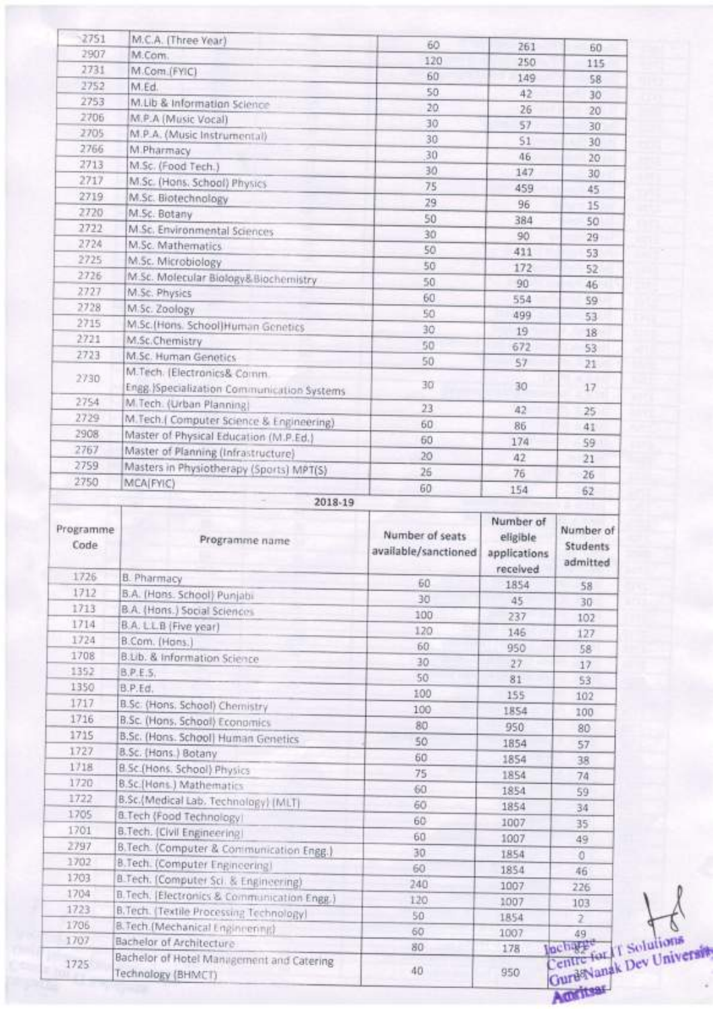| 2751              | M.C.A. (Three Year)                                           | 60                                      |                                                   |                                   |
|-------------------|---------------------------------------------------------------|-----------------------------------------|---------------------------------------------------|-----------------------------------|
| 2907              | M.Com.                                                        | 120                                     | 261<br>250                                        | 60                                |
| 2731              | M.Com.(FYIC)                                                  | 60                                      | 149                                               | 115                               |
| 2752              | M.Ed.                                                         | 50                                      | 42                                                | 58                                |
| 2753              | M.Lib & Information Science                                   | 20                                      | 26                                                | 30<br>20                          |
| 2706              | M.P.A (Music Vocal)                                           | 30                                      | 57                                                | 30                                |
| 2705              | M.P.A. (Music Instrumental)                                   | 30                                      | 51                                                | 30                                |
| 2766              | M.Pharmacy                                                    | 30                                      | 46                                                | 20                                |
| 2713              | M.Sc. (Food Tech.)                                            | 30                                      | 147                                               | 30                                |
| 2717              | M.Sc. (Hons. School) Physics                                  | 75                                      | 459                                               | 45                                |
| 2719              | M.Sc. Biotechnology                                           | 29                                      | 96                                                | 15                                |
| 2720              | M.Sc. Botany                                                  | 50                                      | 384                                               | 50                                |
| 2722              | M.Sc. Environmental Sciences                                  | 30                                      | 90                                                | 29                                |
| 2724              | M.Sc. Mathematics                                             | 50                                      | 411                                               | 53                                |
| 2725              | M.Sc. Microbiology                                            | 50                                      | 172                                               | 52                                |
| 2726              | M.Sc. Molecular Biology&Biochemistry                          | 50                                      | 90                                                | 46                                |
| 2727              | M.Sc. Physics                                                 | 60                                      | 554                                               | 59                                |
| 2728              | M.Sc. Zoology                                                 | 50                                      | 499                                               | 53                                |
| 2715              | M.Sc.(Hons. School) Human Genetics                            | 30                                      | 19                                                | 18                                |
| 2721              | M.Sc.Chemistry                                                | 50                                      | 672                                               | 53                                |
| 2723              | M.Sc. Human Genetics                                          | 50                                      | 57                                                | 21                                |
| 2730              | M.Tech. (Electronics& Comm.                                   |                                         |                                                   |                                   |
|                   | Engg. (Specialization Communication Systems                   | 30                                      | 30                                                | 17                                |
| 2754              | M.Tech. (Urban Planning)                                      | 23                                      | 42                                                | 25                                |
| 2729              | M. Tech. (Computer Science & Engineering)                     | 60                                      | 86                                                | 41                                |
| 2908              | Master of Physical Education (M.P.Ed.)                        | 60                                      | 174                                               | 59                                |
| 2767              | Master of Planning (Infrastructure)                           | 20                                      | 42                                                | 21                                |
| 2759              | Masters in Physiotherapy (Sports) MPT(S)                      | 26                                      | 76                                                | 26                                |
| 2750              | MCA(FYIC)                                                     | 60                                      | 154                                               | 62                                |
| Programme<br>Code | Programme name                                                | Number of seats<br>available/sanctioned | Number of<br>eligible<br>applications<br>received | Number of<br>Students<br>admitted |
| 1726              | <b>B. Pharmacy</b>                                            | 60                                      | 1854                                              | 58                                |
| 1712              | B.A. (Hons. School) Punjabi                                   | 30                                      | 45                                                | 30                                |
| 1713              | B.A. (Hons.) Social Sciences                                  | 100                                     | 237                                               | 102                               |
| 1714              | B.A. L.L.B (Five year)                                        | 120                                     | 146                                               | 127                               |
| 1724              | B.Com. (Hans.)                                                | 60                                      | 950                                               | 58                                |
| 1708              | B.Lib. & Information Science                                  | 30                                      | 27.                                               | 17                                |
| 1352<br>1350      | B.P.E.S.                                                      | 50                                      | 81                                                | 53                                |
| 1717              | B.P.Ed.                                                       | 100                                     | 155                                               | 102                               |
| 1716              | B.Sc. (Hons, School) Chemistry                                | 100                                     | 1854                                              | 100                               |
|                   | B.Sc. (Hons, School) Economics                                | 80                                      | 950                                               | 80                                |
|                   |                                                               |                                         |                                                   |                                   |
| 1715              | B.Sc. (Hons. School) Human Genetics                           | 50                                      | 1854                                              | 57                                |
| 1727              | B.Sc. (Hons.) Botany                                          | 60                                      | 1854                                              | 38.                               |
| 1718              | B.Sc.(Hons. School) Physics                                   | 75                                      | 1854                                              | 74                                |
| 1720              | B.Sc.(Hons.) Mathematics                                      | 60                                      | 1854                                              | 59                                |
| 1722              | B.Sc.(Medical Lab. Technology) (MLT)                          | 60                                      | 1854                                              | 34                                |
| 1705              | <b>B.Tech (Food Technology)</b>                               | 60                                      | 1007                                              | 35                                |
| 1701              | B.Tech. (Civil Engineering)                                   | 60                                      | 1007                                              | 49                                |
| 2797<br>1702      | B.Tech. (Computer & Communication Engg.)                      | 30                                      | 1854                                              | 0                                 |
|                   | B.Tech. (Computer Engineering)                                | 60                                      | 1854                                              | 46                                |
| 1703              | B.Tech. (Computer Sci. & Engineering)                         | 240                                     | 1007                                              | 226                               |
| 1704              | B. Tech. [Electronics & Communication Engg.]                  | 120                                     | 1007                                              | 103                               |
| 1723<br>1706      | B.Tech. (Textile Processing Technology)                       | 50                                      | 1854                                              | $\overline{2}$                    |
| 1707              | B. Tech. (Mechanical Engineering)<br>Bachelor of Architecture | 60<br>80                                | 1007<br>178                                       | 49<br>incharge<br>Centre for 11   |

Solutions<br>Dev Universit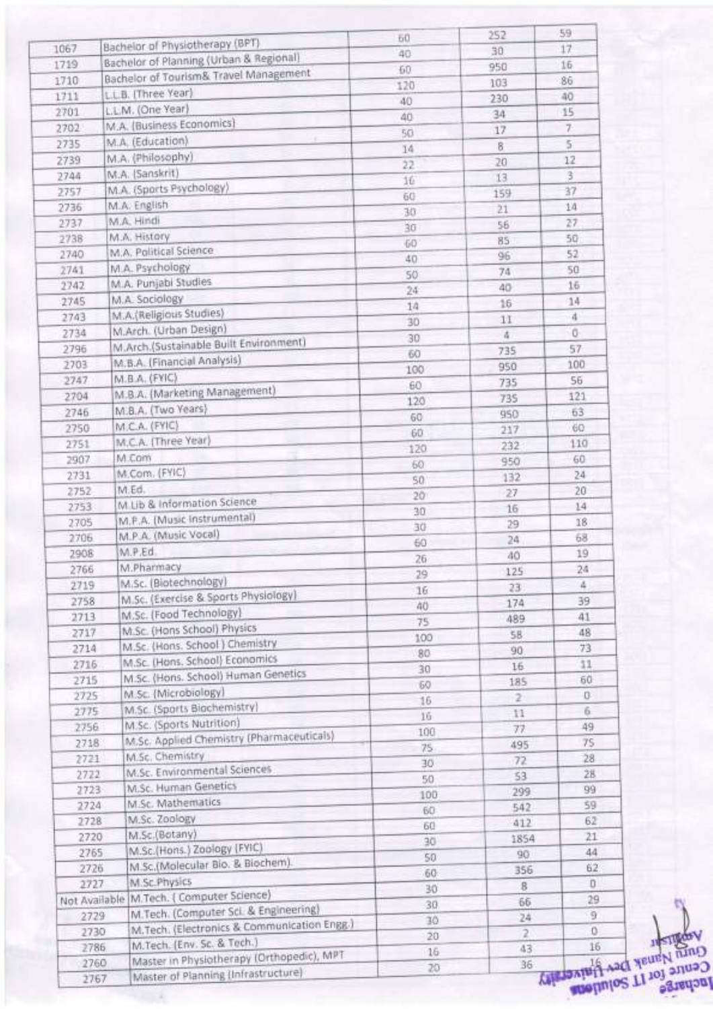|               |                                             | ĐŪ. | 252            | 59                      |  |
|---------------|---------------------------------------------|-----|----------------|-------------------------|--|
| 1067          | Bachelor of Physiotherapy (BPT)             | 40  | 30             | 17                      |  |
| 1719          | Bachelor of Planning (Urban & Regional)     | 60  | 950            | 15                      |  |
| 1710          | Bachelor of Tourism& Travel Management      | 120 | 103            | 86                      |  |
| 1711          | L.L.B. (Three Year)                         | 40  | 230            | 40                      |  |
| 2701          | L.L.M. (One Year)                           | 40  | 34             | 15                      |  |
| 2702          | M.A. (Business Economics)                   | 50  | 17             | 7.                      |  |
| 2735          | M.A. (Education)                            | 14  | 8              | 5                       |  |
| 2739          | M.A. (Philosophy)                           | 22  | 20             | 12                      |  |
| 2744          | M.A. (Sanskrit)                             | 16  | 13             | 3                       |  |
| 2757          | M.A. (Sports Psychology)                    | 60  | 159            | 37                      |  |
| 2736          | M.A. English                                | 30  | 21             | 14                      |  |
| 2737          | M.A. Hindi                                  | 30  | 56             | 27                      |  |
| 2738          | M.A. History                                | 60  | 85             | 50                      |  |
| 2740          | M.A. Political Science                      | 40  | 96             | 52                      |  |
| 2741          | M.A. Psychology                             | 50  | 74             | 50                      |  |
| 2742          | M.A. Punjabi Studies                        | 24  | 40             | 16                      |  |
| 2745          | M.A. Sociology                              | 14  | 16             | 14                      |  |
| 2743          | M.A.(Religious Studies)                     |     | 11             | 4                       |  |
| 2734          | M.Arch. (Urban Design)                      | 30  | ă.             | o                       |  |
| 2796          | M.Arch.(Sustainable Built Environment)      | 30  | 735            | 57                      |  |
| 2703          | M.B.A. (Financial Analysis)                 | 60  | 950            | 100                     |  |
| 2747          | M.B.A. (FYIC)                               | 100 | 735            | 56                      |  |
| 2704          | M.B.A. (Marketing Management)               | 60  |                | 121                     |  |
| 2746          | M.B.A. (Two Years)                          | 120 | 735            | 63                      |  |
| 2750          | M.C.A. (FYIC)                               | 60  | 950            | 60                      |  |
|               | M.C.A. (Three Year)                         | 60  | 217            | 110                     |  |
| 2751          | M.Com                                       | 120 | 232            | 60                      |  |
| 2907          | M.Com. (FYIC)                               | 60  | 950            |                         |  |
| 2731          | M.Ed.                                       | 50  | 132            | 24                      |  |
| 2752          | M Lib & Information Science                 | 20  | 27             | 20                      |  |
| 2753          | M.P.A. (Music Instrumental)                 | 30  | 16             | 14                      |  |
| 2705          | M.P.A. (Music Vocal)                        | 30  | 29             | 18                      |  |
| 2706          |                                             | 60  | 24             | 68                      |  |
| 2908          | M.P.Ed.                                     | 26  | 40             | 19                      |  |
| 2766          | M.Pharmacy                                  | 29  | 125            | 24                      |  |
| 2719          | M.Sc. (Biotechnology)                       | 16  | 23             | ă.                      |  |
| 2758          | M.Sc. (Exercise & Sports Physiology)        | 40  | 174            | 39                      |  |
| 2713          | M.Sc. (Food Technology)                     | 75  | 489            | 41                      |  |
| 2717          | M.Sc. (Hons School) Physics                 | 100 | 58             | 48                      |  |
| 2714          | M.Sc. (Hons. School) Chemistry              | 80  | 90             | 73                      |  |
| 2716          | M.Sc. (Hons. School) Economics              | 30  | 16             | 11                      |  |
| 2715          | M.Sc. (Hons. School) Human Genetics         | 60  | 185            | 60                      |  |
| 2725          | M.Sc. (Microbiology)                        | 16  | $\mathbf{2}$   | O.                      |  |
| 2775          | M.Sc. (Sports Biochemistry)                 | 16  | 11             | 6.                      |  |
| 2756          | M.Sc. (Sports Nutrition)                    | 100 | 77             | 49                      |  |
| 2718          | M.Sc. Applied Chemistry (Pharmaceuticals)   | 75  | 495            | 75                      |  |
| 2721          | M.Sc. Chemistry                             | 30  | 72             | 28                      |  |
| 2722          | M.Sc. Environmental Sciences                | 50  | 53             | 28                      |  |
| 2723          | M.Sc. Human Genetics                        | 100 | 299            | 99                      |  |
| 2724          | M.Sc. Mathematics                           | 60  | 542            | 59                      |  |
| 2728          | M.Sc. Zoology                               | 60  | 412            | 62                      |  |
| 2720          | M.Sc.(Botany)                               | 30  | 1854           | 21                      |  |
| 2765          | M.Sc.(Hons.) Zoology (FYIC)                 | 50  | 90             | 44                      |  |
| 2726          | M.Sc.(Molecular Bio. & Biochem).            | 60  | 356            | 62                      |  |
| 2727          | M.Sc.Physics                                |     | 8              | D                       |  |
| Not Available | M.Tech. (Computer Science)                  | 30  | 66             | 29                      |  |
| 2729          | M.Tech. (Computer Sci. & Engineering)       | 30  | 24             | $\overline{9}$          |  |
| 2730          | M.Tech. (Electronics & Communication Engg.) | 30  | $\overline{2}$ | 0                       |  |
| 2786          | M.Tech. (Env. Sc. & Tech.)                  | 20  |                |                         |  |
| 2760          | Master in Physiotherapy (Orthopedic), MPT   | 16  | 43             | Centre Jouan Des Huizes |  |
|               | Master of Planning (Infrastructure)<br>2767 | 20  | 36             |                         |  |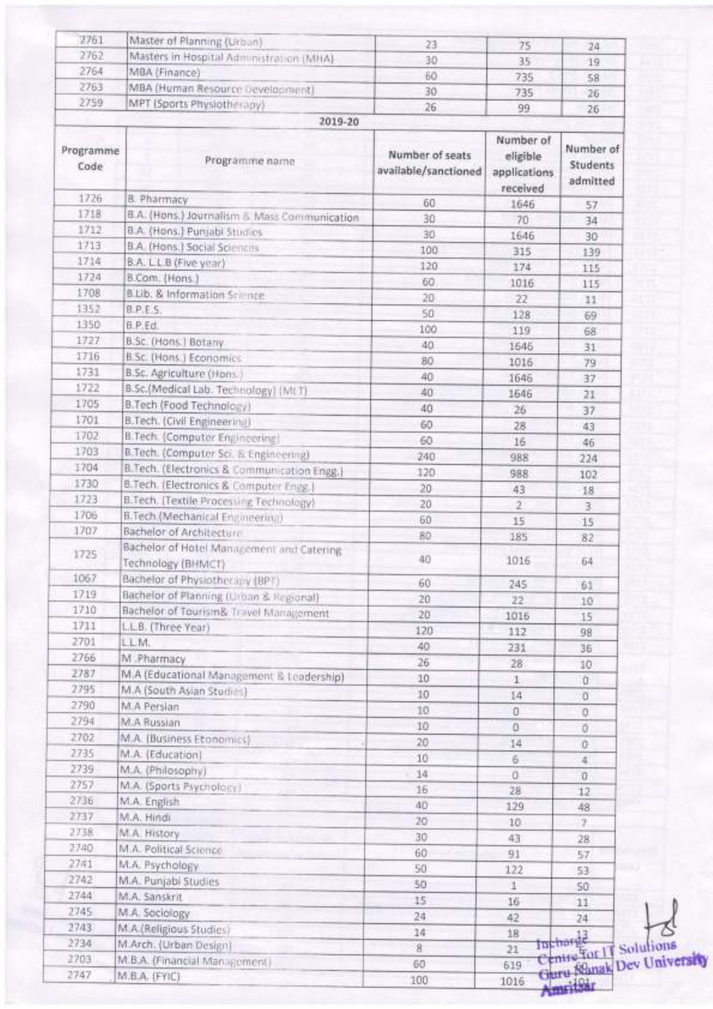| 2761              | Master of Planning (Urban)                     | 23                                      | 75                                                | 24                                       |
|-------------------|------------------------------------------------|-----------------------------------------|---------------------------------------------------|------------------------------------------|
| 2762              | Masters in Hospital Administration (MHA)       | 30                                      | 35                                                | 19                                       |
| 2764              | MBA (Finance)                                  | 60                                      | 735                                               | 58                                       |
| 2763              | MBA (Human Resource Development)               | 30                                      | 735                                               | 26                                       |
| 2759              | MPT (Sports Physiotherapy)                     | 26                                      | 99                                                | 26                                       |
|                   | 2019-20                                        |                                         |                                                   |                                          |
| Programme<br>Code | Programme name                                 | Number of seats<br>available/sanctioned | Number of<br>eligible<br>applications<br>received | Number of<br><b>Students</b><br>admitted |
| 1726              | <b>B. Pharmacy</b>                             | 60                                      | 1646                                              | 57                                       |
| 1718              | B.A. (Hons.) Journalism & Mass Communication   | 30                                      | 70                                                | 34                                       |
| 1712              | B.A. (Hons.) Punjabi Studies                   | 30                                      | 1646                                              | 30                                       |
| 1713              | <b>B.A. (Hons.) Social Sciences</b>            | 100                                     | 315                                               | 139                                      |
| 1714              | B.A. L.L.B (Five year)                         | 120                                     | 174                                               | 115                                      |
| 1724              | B.Com. (Hons.)                                 | 60                                      | 1016                                              | 115                                      |
| 1708              | B.Lib. & Information Science                   | 20                                      | 22                                                | 11                                       |
| 1352              | B.P.E.S.                                       | 50                                      | 128                                               | 69                                       |
| 1350              | B.P.Ed.                                        | 100                                     | 119                                               | 68                                       |
| 1727              | B.Sc. (Hons.) Botany                           | 40                                      | 1646                                              | 31                                       |
| 1716              | B.Sc. (Hons.) Economics                        | 80                                      | 1016                                              | 79                                       |
| 1731              | B.Sc. Agriculture (Hons.)                      | 40                                      | 1646                                              | 37                                       |
| 1722              | B.Sc.(Medical Lab. Technology) (Mt.T)          | 40                                      | 1646                                              | 21                                       |
| 1705              | B.Tech (Food Technology)                       | 40                                      | 26                                                | 37                                       |
| 1701              | B.Tech. (Civil Engineering)                    | 60                                      | 28                                                |                                          |
| 1702              | B.Tech. (Computer Engineering)                 | 60                                      |                                                   | 43                                       |
| 1703              | B.Tech. (Computer Sci. & Engineering)          | 240                                     | 16                                                | 46                                       |
| 1704              | B.Tech. (Electronics & Communication Engg.)    | 120                                     | 988                                               | 224                                      |
| 1730              | B.Tech. (Electronics & Computer Engg.)         |                                         | 988                                               | 102                                      |
| 1723              | <b>B.Tech, [Textile Processing Technology)</b> | 20                                      | 43                                                | 18                                       |
| 1706              | <b>B.Tech.(Mechanical Engineering)</b>         | 20                                      | $\mathfrak{D}$                                    | $\overline{3}$                           |
| 1707              | Bachelor of Architecture                       | 60                                      | 15                                                | 15                                       |
|                   | Bachelor of Hotel Management and Catering      | 80                                      | 185                                               | 82                                       |
| 1725              | Technology (BHMCT)                             | 40                                      | 1016                                              | 64                                       |
| 1067              | Bachelor of Physiotherapy (BPT)                |                                         |                                                   |                                          |
| 1719              | Bachelor of Planning (Urban & Regional)        | 60                                      | 245                                               | 61                                       |
| 1710              | Bachelor of Tourism& Travel Management         | 20                                      | 22                                                | 10                                       |
| 1711              | L.L.B. (Three Year)                            | 20                                      | 1016                                              | 15                                       |
| 2701              | L.L.M.                                         | 120                                     | 112                                               | 98                                       |
| 2766              | M:Pharmacy                                     | 40                                      | 231                                               | 36                                       |
| 2787              | M.A (Educational Management & Leadership)      | 26                                      | 28                                                | $10^{1}$                                 |
| 2795              | M.A (South Asian Studies)                      | 10                                      | $\mathbf{1}$                                      | ü                                        |
| 2790              | M.A Persian                                    | 10                                      | 14                                                | o                                        |
| 2794              | M.A Russian                                    | 10                                      | O                                                 | 0                                        |
| 2702              | M.A. (Business Etonomics)                      | 10                                      | ö                                                 | ö                                        |
| 2735              | M.A. (Education)                               | 20                                      | 14                                                | o                                        |
| 2739              |                                                | 10                                      | 6                                                 | 4                                        |
| 2757              | M.A. (Philosophy)                              | 14                                      | O.                                                | o                                        |
|                   | M.A. (Sports Psychology)                       | 16                                      | 28                                                | 12                                       |
| 2736<br>2737      | M.A. English                                   | 40                                      | 129                                               | 48                                       |
| 2738              | M.A. Hindi                                     | 20                                      | 10                                                | 2                                        |
| 2740              | M.A. History                                   | 30                                      | 43                                                | 28                                       |
| 2741              | M.A. Political Science                         | 60                                      | 91                                                | 57                                       |
|                   | M.A. Psychology                                | 50                                      | 122                                               | 53                                       |
| 2742              | M.A. Punjabi Studies                           | 50                                      | $\mathbf{1}$                                      | SO:                                      |
| 2744              | M.A. Sanskrit                                  | 15                                      | 16                                                | 11                                       |
| 2745              | M.A. Sociology                                 | 24                                      | 42                                                | 24                                       |
| 2743              | M.A.(Religious Studies)                        | 14                                      | 18                                                | Incharge                                 |
| 2734              | M.Arch. (Urban Design)                         | $\bf{8}$                                | 21                                                | Centre for IT Sol                        |
| 2703              | M.B.A. (Financial Management)                  | 60                                      | 619                                               | Guru Klanak Dev                          |
| 2747              | M.B.A. (FYIC)                                  | 100                                     | 1016                                              |                                          |

lutions<br>v University

Amritsar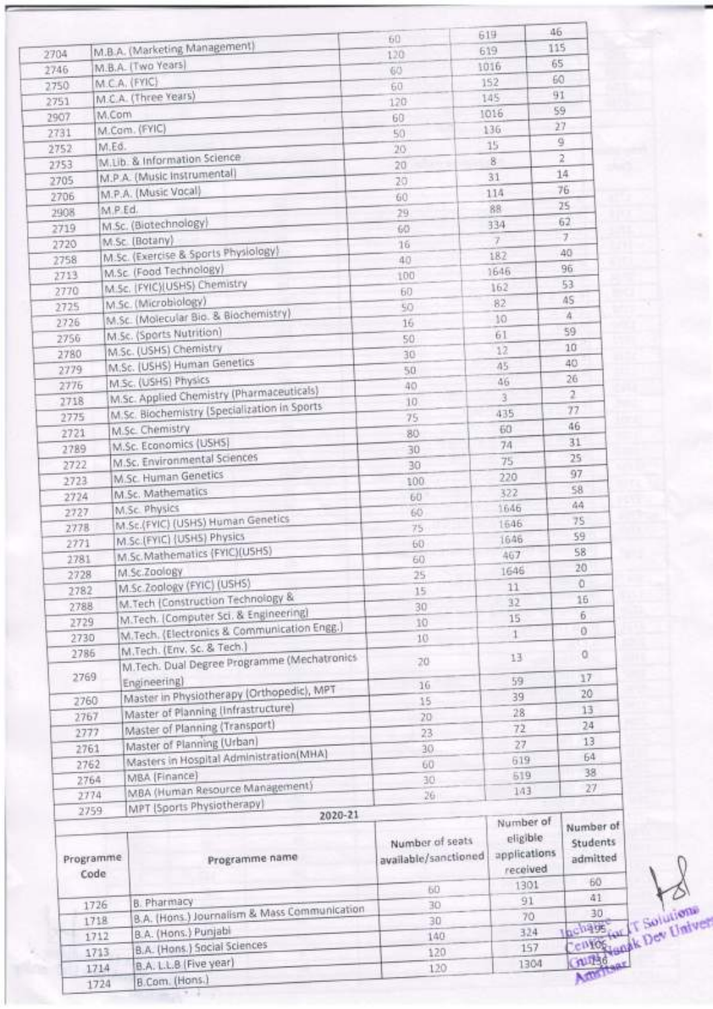|                   |                                                                   | 60                                      | 46<br>619                                         |                                   |
|-------------------|-------------------------------------------------------------------|-----------------------------------------|---------------------------------------------------|-----------------------------------|
| 2704              | M.B.A. (Marketing Management)                                     | 120                                     | 115<br>619                                        |                                   |
| 2746              | M.B.A. (Two Years)                                                | 60                                      | 65<br>1016                                        |                                   |
| 2750              | M.C.A. (FYIC)                                                     | 60                                      | 60<br>152                                         |                                   |
| 2751              | M.C.A. (Three Years)                                              | 120                                     | 91<br>145                                         |                                   |
| 2907              | M.Com                                                             | 60                                      | 1016                                              | 59                                |
| 2731              | M.Com. (FYIC)                                                     | 50                                      | 136                                               | 27                                |
| 2752              | M.Ed.                                                             | 20                                      | 15                                                | ğ                                 |
| 2753              | M.Lib. & Information Science                                      |                                         | 8                                                 | 2                                 |
| 2705              | M.P.A. (Music instrumental)                                       | $20^{\circ}$                            | 31                                                | 14                                |
|                   | M.P.A. (Music Vocal)                                              | 20                                      | 114                                               | 76                                |
| 2706              | M.P Ed.                                                           | 60                                      | 88                                                | 25                                |
| 2908              | M.Sc. (Biotechnology)                                             | 29                                      | 334                                               | 62                                |
| 2719              | M.Sc. (Botany)                                                    | 60                                      | 7                                                 | J.                                |
| 2720              | M.Sc. (Exercise & Sports Physiology)                              | 16                                      | 182                                               | 40                                |
| 2758              | M.Sc. (Food Technology)                                           | 40                                      | 1646                                              | 96                                |
| 2713              | M.Sc. (FYIC)(USHS) Chemistry                                      | 100                                     | 162                                               | 53                                |
| 2770              | M.Sc. (Microbiology)                                              | 60                                      | 82                                                | AS.                               |
| 2725              | M.Sc. (Molecular Bio. & Biochemistry)                             | 50                                      | 10                                                | $\Delta$                          |
| 2726              | M.Sc. (Sports Nutrition)                                          | 16                                      | 61                                                | 59                                |
| 2756              | M.Sc. (USHS) Chemistry                                            | 50                                      | 12                                                | 10                                |
| 2780              | M.Sc. (USHS) Human Genetics                                       | 30                                      |                                                   | 40                                |
| 2779              |                                                                   | 50                                      | 45                                                | 26                                |
| 2776              | M.Sc. (USHS) Physics<br>M.Sc. Applied Chemistry (Pharmaceuticals) | 40                                      | 46                                                | $\overline{a}$                    |
| 2718              | M.Sc. Biochemistry (Specialization in Sports                      | 10                                      | 3                                                 | 77                                |
| 2775              |                                                                   | 75                                      | 435                                               | 46                                |
| 2721              | M.Sc. Chemistry                                                   | 80                                      | 60                                                |                                   |
| 2789              | M.Sc. Economics (USHS)                                            | 30                                      | 74                                                | 31                                |
| 2722              | M.Sc. Environmental Sciences                                      | 30                                      | 75                                                | 25                                |
| 2723              | <b>M.Sc. Human Genetics</b>                                       | 100                                     | 220                                               | 97                                |
| 2724              | M.Sc. Mathematics                                                 | 60                                      | 322                                               | 58                                |
| 2727              | M.Sc. Physics                                                     | 60                                      | 1646                                              | 44                                |
| 2778              | M.Sc.(FYIC) (USHS) Human Genetics                                 | 75                                      | 1646                                              | 75                                |
| 2771              | M.Sc.(FYIC) (USHS) Physics                                        | 60                                      | 1646                                              | 59                                |
| 2781              | M.Sc.Mathematics (FYIC)(USHS)                                     | 60                                      | 467                                               | 58                                |
| 2728              | M.Sc.Zoology                                                      | 25                                      | 1646                                              | 20                                |
| 2782              | M.Sc.Zoology (FYIC) (USHS)                                        | 15                                      | 11                                                | o                                 |
| 2788              | M.Tech (Construction Technology &                                 | 30                                      | 32                                                | 16                                |
| 2729              | M.Tech. (Computer Sci. & Engineering)                             | 10                                      | 15                                                | 6.                                |
| 2730              | M.Tech. (Electronics & Communication Engg.)                       | 10                                      | 4                                                 | o                                 |
| 2786              | M.Tech. (Env. Sc. & Tech.)                                        |                                         | 13                                                | 0                                 |
|                   | M.Tech. Dual Degree Programme (Mechatronics                       | 20                                      |                                                   |                                   |
| 2769              | Engineering)                                                      | 16                                      | 59                                                | 17                                |
| 2760              | Master in Physiotherapy (Orthopedic), MPT                         | 15                                      | 39                                                | 20                                |
| 2767              | Master of Planning (Infrastructure)                               | 20                                      | 28                                                | 13                                |
| 2777              | Master of Planning (Transport)                                    | 23                                      | 72                                                | 24                                |
| 2761              | Master of Planning (Urban)                                        | 30                                      | 27                                                | 13                                |
| 2762              | Masters in Hospital Administration(MHA)                           | 60                                      | 619                                               | 64                                |
| 2764              | MBA (Finance)                                                     | 30                                      | 519                                               | 38                                |
| 2774              | MBA (Human Resource Management)                                   | 26                                      | 143                                               | 27                                |
| 2759              | MPT (Sports Physiotherapy)                                        |                                         |                                                   |                                   |
| Programme<br>Code | 2020-21<br>Programme name                                         | Number of seats<br>available/sanctioned | Number of<br>eligible<br>applications<br>received | Number of<br>Students<br>admitted |
|                   |                                                                   | 60                                      | 1301                                              | 60                                |
|                   | <b>B. Pharmacy</b><br>1726                                        | 30                                      | 91                                                | 41                                |
|                   | B.A. (Hons.) Journalism & Mass Communication<br>1718              | 30                                      | 70                                                | 30                                |
|                   | B.A. (Hons.) Punjabi<br>1712                                      | 140                                     | 324                                               | Inchase                           |
|                   | B.A. (Hons.) Social Sciences<br>1713                              | 120                                     | 157                                               | cured <sub>de</sub>               |
|                   | B.A. L.L.B (Five year)<br>1714                                    | 120                                     | 1304                                              | Actor/150                         |
|                   | B.Com. (Hons.)<br>1724                                            |                                         |                                                   |                                   |

ar I Solutions<br>and Pev Univer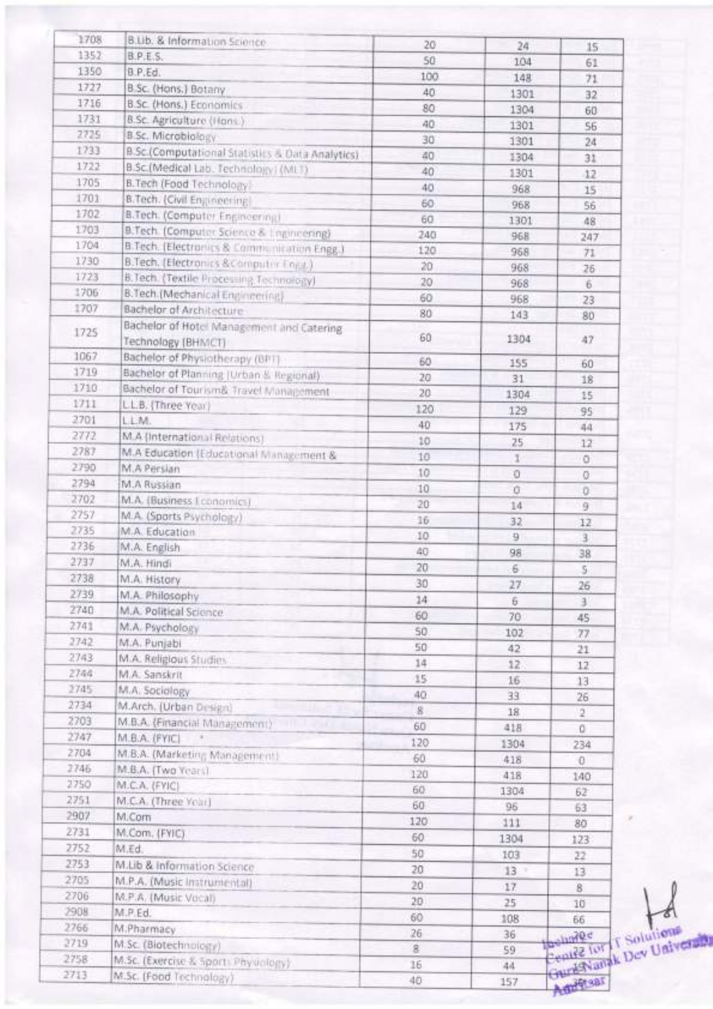| 1708 | B.Lib. & Information Science.                    | 20                      | 24              | 15              |
|------|--------------------------------------------------|-------------------------|-----------------|-----------------|
| 1352 | B.P.E.S.                                         | 50                      | 104             | 61              |
| 1350 | B.P.Ed.                                          | 100                     | 148             | 71              |
| 1727 | B.Sc. (Hons.) Botany                             | 40                      | 1301            | 32              |
| 1716 | <b>B.Sc. (Hons.) Economics</b>                   | 80                      | 1304            | 60              |
| 1731 | B.Sc. Agriculture (Hans.)                        | 40                      | 1301            | 56              |
| 2725 | B.Sc. Microbiology                               | 30                      | 1301            | $^{24}$         |
| 1733 | B.Sc.(Computational Statistics & Data Analytics) | 40                      | 1304            | 31              |
| 1722 | B.Sc.(Medical Lab. Technology) (MLT).            | 40                      | 1301            | $12^{12}$       |
| 1705 | B.Tech (Food Technology)                         | 40                      | 968             | 15              |
| 1701 | B.Tech. (Civil Engineering)                      | 60                      | 968             | 56              |
| 1702 | B.Tech. (Computer Engineering)                   | 60                      | 1301            | 48              |
| 1703 | B.Tech. (Computer Science & Engineering)         | 240                     | 968             | 247             |
| 1704 | B.Tech. (Electronics & Communication Engg.)      | 120                     | 968             | 71              |
| 1730 | B.Tech. (Electronics & Computer Eng.)            | 20                      | 968             | 26              |
| 1723 | B. Tech. (Textile Processing Technology)         | 20                      | 968             | 6               |
| 1706 | 8. Tech. (Mechanical Engineering)                | 60                      | 968             | 23              |
| 1707 | Bachelor of Architecture                         | 80                      | 143             | 80              |
| 1725 | Bachelor of Hotel Management and Catering        |                         |                 |                 |
|      | Technology (BHMCT)                               | 60                      | 1304            | 47              |
| 1067 | Bachelor of Physiotherapy (BPT)                  | 60                      | 155             |                 |
| 1719 | Bachelor of Planning (Urban & Regional)          | 20                      |                 | 60              |
| 1710 | Bachelor of Tourism& Travel Management           | 20                      | 31              | 18              |
| 1711 | L.L.B. (Three Year)                              | 120                     | 1304            | 15              |
| 2701 | L.L.M.                                           |                         | 129             | 95              |
| 2772 | M.A (International Relations)                    | 40                      | 175             | 44              |
| 2787 | M.A Education (Educational Management &          | 10                      | 25 <sub>1</sub> | 17              |
| 2790 | M.A Persian                                      | 10                      | $\mathcal{I}$   | o               |
| 2794 | M.A Russian                                      | 10                      | O               | 0               |
| 2702 | M.A. (Business Tconomics)                        | 10                      | û               | Ü               |
| 2757 | M.A. (Sports Psychology)                         | 20                      | 14              | 9               |
| 2735 | M.A. Education                                   | 16                      | 32              | 12              |
| 2736 | M.A. English                                     | 10                      | 9               | 3               |
| 2737 | M.A. Hindi                                       | 40                      | 98              | 38              |
| 2738 | M.A. History                                     | 20                      | 6               | 5               |
| 2739 | M.A. Philosophy                                  | 30                      | 27              | 26              |
| 2740 | M.A. Political Science                           | 14                      | 6               | $\mathbf{3}$    |
| 2741 | M.A. Psychology                                  | 60                      | 70              | 45              |
| 2742 |                                                  | 50                      | 102             | 77              |
| 2743 | M.A. Punjabi                                     | 50                      | 42              | 21              |
| 2744 | M.A. Religious Studies                           | 14                      | 12.             | 12              |
| 2745 | M.A. Sanskrit                                    | 15                      | 16              | 13 <sub>1</sub> |
| 2734 | M.A. Sociology                                   | 40                      | 33              | 26              |
|      | M.Arch. (Urban Design)                           | s                       | 18              | $\overline{2}$  |
| 2703 | M.B.A. (Financial Management)                    | 60                      | 418             | o               |
| 2747 | M.B.A. (FYIC)                                    | 120                     | 1304            | 234             |
| 2704 | M.B.A. (Marketing Management)                    | 60                      | 418             | $\theta$        |
| 2746 | M.B.A. (Two Years).                              | 120                     | 418             | 140             |
| 2750 | M.C.A. (FYIC)                                    | 60                      | 1304            | 62              |
| 2751 | M.C.A. (Three Your)                              | 60                      | 96              | 63              |
| 2907 | M.Com                                            | 120                     | 111             | 80              |
| 2731 | M.Com. (FYIC)                                    | 60                      | 1304            | 123             |
| 2752 | M.Ed.                                            | 50                      | 103             | 22              |
| 2753 | M.Lib & Information Science                      | 20                      | $13 -$          | 13              |
| 2705 | M.P.A. (Music instrumental)                      | 20                      | 17              | 8               |
| 2706 | M.P.A. (Music Vocal)                             | 20                      | 25              | 10              |
| 2908 | M.P.Ed.                                          | 60                      | 108             | 66              |
| 2766 | M.Pharmacy                                       | 26                      | 36              | $-1020<$        |
| 2719 | M.Sc. (Biotechnology)                            | $\overline{\mathbf{8}}$ | 59              | <b>WILSSHAW</b> |
|      |                                                  |                         |                 |                 |
| 2758 | M.Sc. (Exercise & Sport: Phydology)              | 16                      | 44              | Gurdsvanak I    |

Solutions<br>Dev University